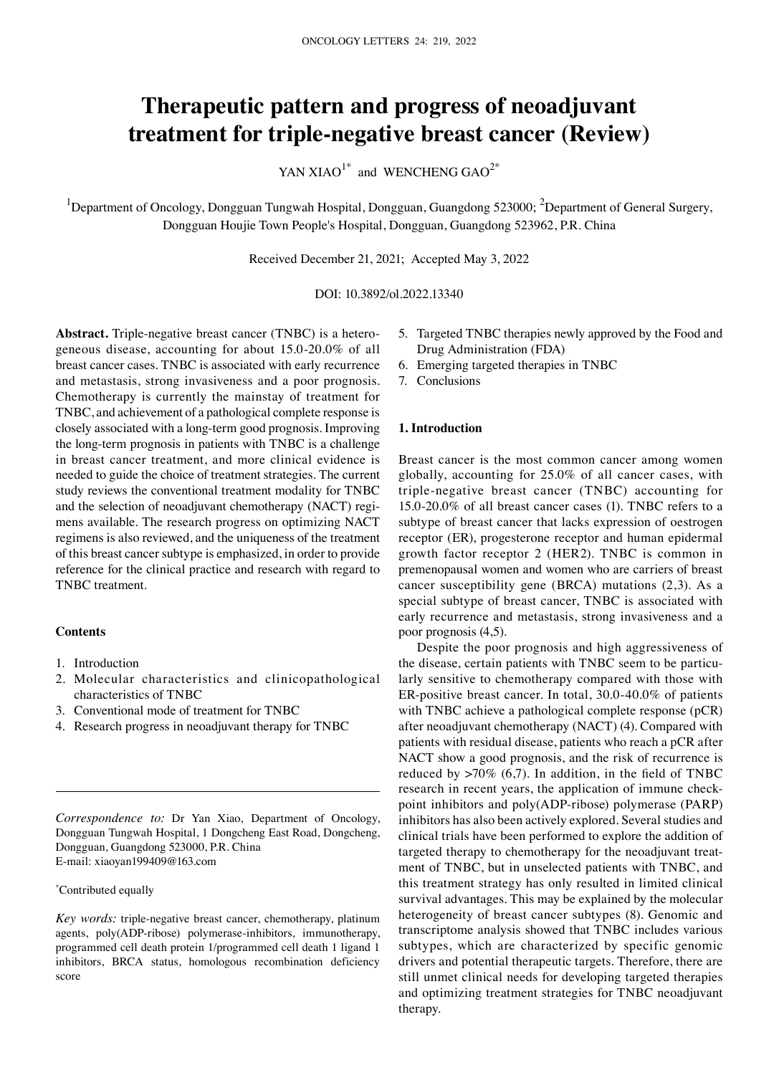# **Therapeutic pattern and progress of neoadjuvant treatment for triple‑negative breast cancer (Review)**

YAN XIAO<sup>1\*</sup> and WENCHENG  $GAO^{2*}$ 

<sup>1</sup>Department of Oncology, Dongguan Tungwah Hospital, Dongguan, Guangdong 523000; <sup>2</sup>Department of General Surgery, Dongguan Houjie Town People's Hospital, Dongguan, Guangdong 523962, P.R. China

Received December 21, 2021; Accepted May 3, 2022

DOI: 10.3892/ol.2022.13340

Abstract. Triple-negative breast cancer (TNBC) is a heterogeneous disease, accounting for about 15.0‑20.0% of all breast cancer cases. TNBC is associated with early recurrence and metastasis, strong invasiveness and a poor prognosis. Chemotherapy is currently the mainstay of treatment for TNBC, and achievement of a pathological complete response is closely associated with a long‑term good prognosis. Improving the long‑term prognosis in patients with TNBC is a challenge in breast cancer treatment, and more clinical evidence is needed to guide the choice of treatment strategies. The current study reviews the conventional treatment modality for TNBC and the selection of neoadjuvant chemotherapy (NACT) regimens available. The research progress on optimizing NACT regimens is also reviewed, and the uniqueness of the treatment of this breast cancer subtype is emphasized, in order to provide reference for the clinical practice and research with regard to TNBC treatment.

## **Contents**

- 1. Introduction
- 2. Molecular characteristics and clinicopathological characteristics of TNBC
- 3. Conventional mode of treatment for TNBC
- 4. Research progress in neoadjuvant therapy for TNBC

*Correspondence to:* Dr Yan Xiao, Department of Oncology, Dongguan Tungwah Hospital, 1 Dongcheng East Road, Dongcheng, Dongguan, Guangdong 523000, P.R. China E‑mail: xiaoyan199409@163.com

## \* Contributed equally

*Key words:* triple-negative breast cancer, chemotherapy, platinum agents, poly(ADP-ribose) polymerase-inhibitors, immunotherapy, programmed cell death protein 1/programmed cell death 1 ligand 1 inhibitors, BRCA status, homologous recombination deficiency score

- 5. Targeted TNBC therapies newly approved by the Food and Drug Administration (FDA)
- 6. Emerging targeted therapies in TNBC
- 7. Conclusions

## **1. Introduction**

Breast cancer is the most common cancer among women globally, accounting for 25.0% of all cancer cases, with triple‑negative breast cancer (TNBC) accounting for 15.0‑20.0% of all breast cancer cases (1). TNBC refers to a subtype of breast cancer that lacks expression of oestrogen receptor (ER), progesterone receptor and human epidermal growth factor receptor 2 (HER2). TNBC is common in premenopausal women and women who are carriers of breast cancer susceptibility gene (BRCA) mutations (2,3). As a special subtype of breast cancer, TNBC is associated with early recurrence and metastasis, strong invasiveness and a poor prognosis (4,5).

Despite the poor prognosis and high aggressiveness of the disease, certain patients with TNBC seem to be particularly sensitive to chemotherapy compared with those with ER-positive breast cancer. In total, 30.0-40.0% of patients with TNBC achieve a pathological complete response (pCR) after neoadjuvant chemotherapy (NACT) (4). Compared with patients with residual disease, patients who reach a pCR after NACT show a good prognosis, and the risk of recurrence is reduced by  $>70\%$  (6,7). In addition, in the field of TNBC research in recent years, the application of immune checkpoint inhibitors and poly(ADP‑ribose) polymerase (PARP) inhibitors has also been actively explored. Several studies and clinical trials have been performed to explore the addition of targeted therapy to chemotherapy for the neoadjuvant treatment of TNBC, but in unselected patients with TNBC, and this treatment strategy has only resulted in limited clinical survival advantages. This may be explained by the molecular heterogeneity of breast cancer subtypes (8). Genomic and transcriptome analysis showed that TNBC includes various subtypes, which are characterized by specific genomic drivers and potential therapeutic targets. Therefore, there are still unmet clinical needs for developing targeted therapies and optimizing treatment strategies for TNBC neoadjuvant therapy.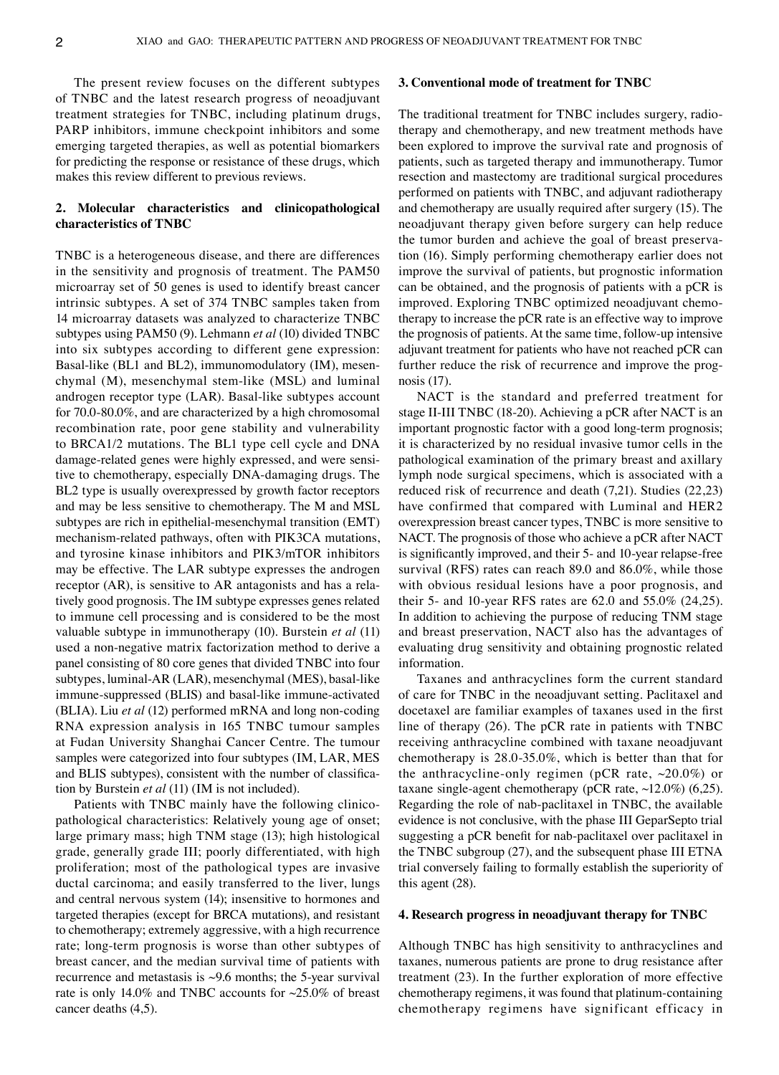The present review focuses on the different subtypes of TNBC and the latest research progress of neoadjuvant treatment strategies for TNBC, including platinum drugs, PARP inhibitors, immune checkpoint inhibitors and some emerging targeted therapies, as well as potential biomarkers for predicting the response or resistance of these drugs, which makes this review different to previous reviews.

# **2. Molecular characteristics and clinicopathological characteristics of TNBC**

TNBC is a heterogeneous disease, and there are differences in the sensitivity and prognosis of treatment. The PAM50 microarray set of 50 genes is used to identify breast cancer intrinsic subtypes. A set of 374 TNBC samples taken from 14 microarray datasets was analyzed to characterize TNBC subtypes using PAM50 (9). Lehmann *et al* (10) divided TNBC into six subtypes according to different gene expression: Basal-like (BL1 and BL2), immunomodulatory (IM), mesenchymal (M), mesenchymal stem‑like (MSL) and luminal androgen receptor type (LAR). Basal-like subtypes account for 70.0‑80.0%, and are characterized by a high chromosomal recombination rate, poor gene stability and vulnerability to BRCA1/2 mutations. The BL1 type cell cycle and DNA damage-related genes were highly expressed, and were sensitive to chemotherapy, especially DNA‑damaging drugs. The BL2 type is usually overexpressed by growth factor receptors and may be less sensitive to chemotherapy. The M and MSL subtypes are rich in epithelial-mesenchymal transition (EMT) mechanism‑related pathways, often with PIK3CA mutations, and tyrosine kinase inhibitors and PIK3/mTOR inhibitors may be effective. The LAR subtype expresses the androgen receptor (AR), is sensitive to AR antagonists and has a relatively good prognosis. The IM subtype expresses genes related to immune cell processing and is considered to be the most valuable subtype in immunotherapy (10). Burstein *et al* (11) used a non‑negative matrix factorization method to derive a panel consisting of 80 core genes that divided TNBC into four subtypes, luminal-AR (LAR), mesenchymal (MES), basal-like immune-suppressed (BLIS) and basal-like immune-activated (BLIA). Liu *et al* (12) performed mRNA and long non‑coding RNA expression analysis in 165 TNBC tumour samples at Fudan University Shanghai Cancer Centre. The tumour samples were categorized into four subtypes (IM, LAR, MES and BLIS subtypes), consistent with the number of classification by Burstein *et al* (11) (IM is not included).

Patients with TNBC mainly have the following clinicopathological characteristics: Relatively young age of onset; large primary mass; high TNM stage (13); high histological grade, generally grade III; poorly differentiated, with high proliferation; most of the pathological types are invasive ductal carcinoma; and easily transferred to the liver, lungs and central nervous system (14); insensitive to hormones and targeted therapies (except for BRCA mutations), and resistant to chemotherapy; extremely aggressive, with a high recurrence rate; long-term prognosis is worse than other subtypes of breast cancer, and the median survival time of patients with recurrence and metastasis is  $\sim$ 9.6 months; the 5-year survival rate is only 14.0% and TNBC accounts for ~25.0% of breast cancer deaths (4,5).

#### **3. Conventional mode of treatment for TNBC**

The traditional treatment for TNBC includes surgery, radiotherapy and chemotherapy, and new treatment methods have been explored to improve the survival rate and prognosis of patients, such as targeted therapy and immunotherapy. Tumor resection and mastectomy are traditional surgical procedures performed on patients with TNBC, and adjuvant radiotherapy and chemotherapy are usually required after surgery (15). The neoadjuvant therapy given before surgery can help reduce the tumor burden and achieve the goal of breast preservation (16). Simply performing chemotherapy earlier does not improve the survival of patients, but prognostic information can be obtained, and the prognosis of patients with a pCR is improved. Exploring TNBC optimized neoadjuvant chemotherapy to increase the pCR rate is an effective way to improve the prognosis of patients. At the same time, follow‑up intensive adjuvant treatment for patients who have not reached pCR can further reduce the risk of recurrence and improve the prognosis (17).

NACT is the standard and preferred treatment for stage II‑III TNBC (18‑20). Achieving a pCR after NACT is an important prognostic factor with a good long-term prognosis; it is characterized by no residual invasive tumor cells in the pathological examination of the primary breast and axillary lymph node surgical specimens, which is associated with a reduced risk of recurrence and death (7,21). Studies (22,23) have confirmed that compared with Luminal and HER2 overexpression breast cancer types, TNBC is more sensitive to NACT. The prognosis of those who achieve a pCR after NACT is significantly improved, and their 5‑ and 10‑year relapse‑free survival (RFS) rates can reach 89.0 and 86.0%, while those with obvious residual lesions have a poor prognosis, and their 5‑ and 10‑year RFS rates are 62.0 and 55.0% (24,25). In addition to achieving the purpose of reducing TNM stage and breast preservation, NACT also has the advantages of evaluating drug sensitivity and obtaining prognostic related information.

Taxanes and anthracyclines form the current standard of care for TNBC in the neoadjuvant setting. Paclitaxel and docetaxel are familiar examples of taxanes used in the first line of therapy (26). The pCR rate in patients with TNBC receiving anthracycline combined with taxane neoadjuvant chemotherapy is 28.0‑35.0%, which is better than that for the anthracycline-only regimen (pCR rate,  $\sim$ 20.0%) or taxane single-agent chemotherapy (pCR rate,  $\sim$ 12.0%) (6,25). Regarding the role of nab‑paclitaxel in TNBC, the available evidence is not conclusive, with the phase III GeparSepto trial suggesting a pCR benefit for nab‑paclitaxel over paclitaxel in the TNBC subgroup (27), and the subsequent phase III ETNA trial conversely failing to formally establish the superiority of this agent (28).

#### **4. Research progress in neoadjuvant therapy for TNBC**

Although TNBC has high sensitivity to anthracyclines and taxanes, numerous patients are prone to drug resistance after treatment (23). In the further exploration of more effective chemotherapy regimens, it was found that platinum‑containing chemotherapy regimens have significant efficacy in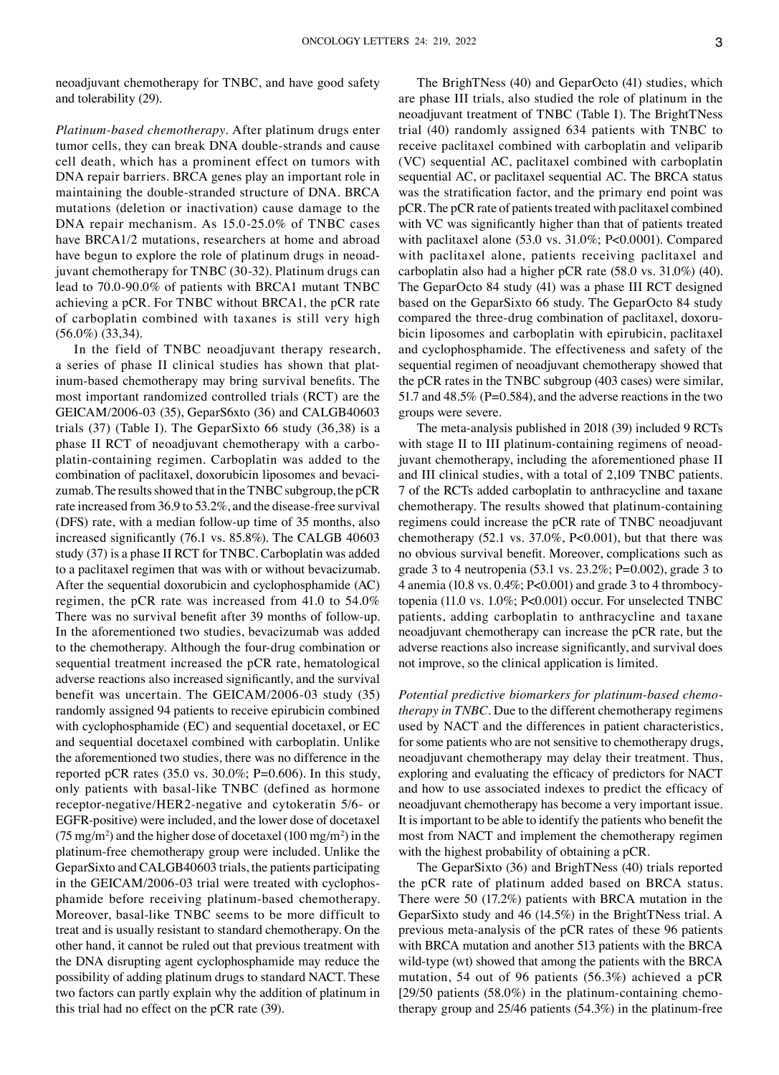neoadjuvant chemotherapy for TNBC, and have good safety and tolerability (29).

*Platinum‑based chemotherapy.* After platinum drugs enter tumor cells, they can break DNA double‑strands and cause cell death, which has a prominent effect on tumors with DNA repair barriers. BRCA genes play an important role in maintaining the double‑stranded structure of DNA. BRCA mutations (deletion or inactivation) cause damage to the DNA repair mechanism. As 15.0‑25.0% of TNBC cases have BRCA1/2 mutations, researchers at home and abroad have begun to explore the role of platinum drugs in neoadjuvant chemotherapy for TNBC (30‑32). Platinum drugs can lead to 70.0‑90.0% of patients with BRCA1 mutant TNBC achieving a pCR. For TNBC without BRCA1, the pCR rate of carboplatin combined with taxanes is still very high (56.0%) (33,34).

In the field of TNBC neoadjuvant therapy research, a series of phase II clinical studies has shown that platinum‑based chemotherapy may bring survival benefits. The most important randomized controlled trials (RCT) are the GEICAM/2006‑03 (35), GeparS6xto (36) and CALGB40603 trials (37) (Table I). The GeparSixto 66 study (36,38) is a phase II RCT of neoadjuvant chemotherapy with a carboplatin‑containing regimen. Carboplatin was added to the combination of paclitaxel, doxorubicin liposomes and bevacizumab. The results showed that in the TNBC subgroup, the pCR rate increased from 36.9 to 53.2%, and the disease-free survival (DFS) rate, with a median follow‑up time of 35 months, also increased significantly (76.1 vs. 85.8%). The CALGB 40603 study (37) is a phase II RCT for TNBC. Carboplatin was added to a paclitaxel regimen that was with or without bevacizumab. After the sequential doxorubicin and cyclophosphamide (AC) regimen, the pCR rate was increased from 41.0 to 54.0% There was no survival benefit after 39 months of follow‑up. In the aforementioned two studies, bevacizumab was added to the chemotherapy. Although the four‑drug combination or sequential treatment increased the pCR rate, hematological adverse reactions also increased significantly, and the survival benefit was uncertain. The GEICAM/2006‑03 study (35) randomly assigned 94 patients to receive epirubicin combined with cyclophosphamide (EC) and sequential docetaxel, or EC and sequential docetaxel combined with carboplatin. Unlike the aforementioned two studies, there was no difference in the reported pCR rates (35.0 vs. 30.0%; P=0.606). In this study, only patients with basal-like TNBC (defined as hormone receptor‑negative/HER2‑negative and cytokeratin 5/6‑ or EGFR‑positive) were included, and the lower dose of docetaxel (75 mg/m<sup>2</sup>) and the higher dose of docetaxel (100 mg/m<sup>2</sup>) in the platinum‑free chemotherapy group were included. Unlike the GeparSixto and CALGB40603 trials, the patients participating in the GEICAM/2006-03 trial were treated with cyclophosphamide before receiving platinum‑based chemotherapy. Moreover, basal-like TNBC seems to be more difficult to treat and is usually resistant to standard chemotherapy. On the other hand, it cannot be ruled out that previous treatment with the DNA disrupting agent cyclophosphamide may reduce the possibility of adding platinum drugs to standard NACT. These two factors can partly explain why the addition of platinum in this trial had no effect on the pCR rate (39).

The BrighTNess (40) and GeparOcto (41) studies, which are phase III trials, also studied the role of platinum in the neoadjuvant treatment of TNBC (Table I). The BrightTNess trial (40) randomly assigned 634 patients with TNBC to receive paclitaxel combined with carboplatin and veliparib (VC) sequential AC, paclitaxel combined with carboplatin sequential AC, or paclitaxel sequential AC. The BRCA status was the stratification factor, and the primary end point was pCR. The pCR rate of patients treated with paclitaxel combined with VC was significantly higher than that of patients treated with paclitaxel alone (53.0 vs. 31.0%; P<0.0001). Compared with paclitaxel alone, patients receiving paclitaxel and carboplatin also had a higher pCR rate (58.0 vs. 31.0%) (40). The GeparOcto 84 study (41) was a phase III RCT designed based on the GeparSixto 66 study. The GeparOcto 84 study compared the three-drug combination of paclitaxel, doxorubicin liposomes and carboplatin with epirubicin, paclitaxel and cyclophosphamide. The effectiveness and safety of the sequential regimen of neoadjuvant chemotherapy showed that the pCR rates in the TNBC subgroup (403 cases) were similar, 51.7 and 48.5% (P=0.584), and the adverse reactions in the two groups were severe.

The meta-analysis published in 2018 (39) included 9 RCTs with stage II to III platinum-containing regimens of neoadjuvant chemotherapy, including the aforementioned phase II and III clinical studies, with a total of 2,109 TNBC patients. 7 of the RCTs added carboplatin to anthracycline and taxane chemotherapy. The results showed that platinum‑containing regimens could increase the pCR rate of TNBC neoadjuvant chemotherapy (52.1 vs. 37.0%, P<0.001), but that there was no obvious survival benefit. Moreover, complications such as grade 3 to 4 neutropenia (53.1 vs. 23.2%; P=0.002), grade 3 to 4 anemia (10.8 vs. 0.4%; P<0.001) and grade 3 to 4 thrombocytopenia (11.0 vs. 1.0%; P<0.001) occur. For unselected TNBC patients, adding carboplatin to anthracycline and taxane neoadjuvant chemotherapy can increase the pCR rate, but the adverse reactions also increase significantly, and survival does not improve, so the clinical application is limited.

*Potential predictive biomarkers for platinum‑based chemo‑ therapy in TNBC.* Due to the different chemotherapy regimens used by NACT and the differences in patient characteristics, for some patients who are not sensitive to chemotherapy drugs, neoadjuvant chemotherapy may delay their treatment. Thus, exploring and evaluating the efficacy of predictors for NACT and how to use associated indexes to predict the efficacy of neoadjuvant chemotherapy has become a very important issue. It is important to be able to identify the patients who benefit the most from NACT and implement the chemotherapy regimen with the highest probability of obtaining a pCR.

The GeparSixto (36) and BrighTNess (40) trials reported the pCR rate of platinum added based on BRCA status. There were 50 (17.2%) patients with BRCA mutation in the GeparSixto study and 46 (14.5%) in the BrightTNess trial. A previous meta‑analysis of the pCR rates of these 96 patients with BRCA mutation and another 513 patients with the BRCA wild-type (wt) showed that among the patients with the BRCA mutation, 54 out of 96 patients (56.3%) achieved a pCR [29/50 patients (58.0%) in the platinum-containing chemotherapy group and  $25/46$  patients  $(54.3%)$  in the platinum-free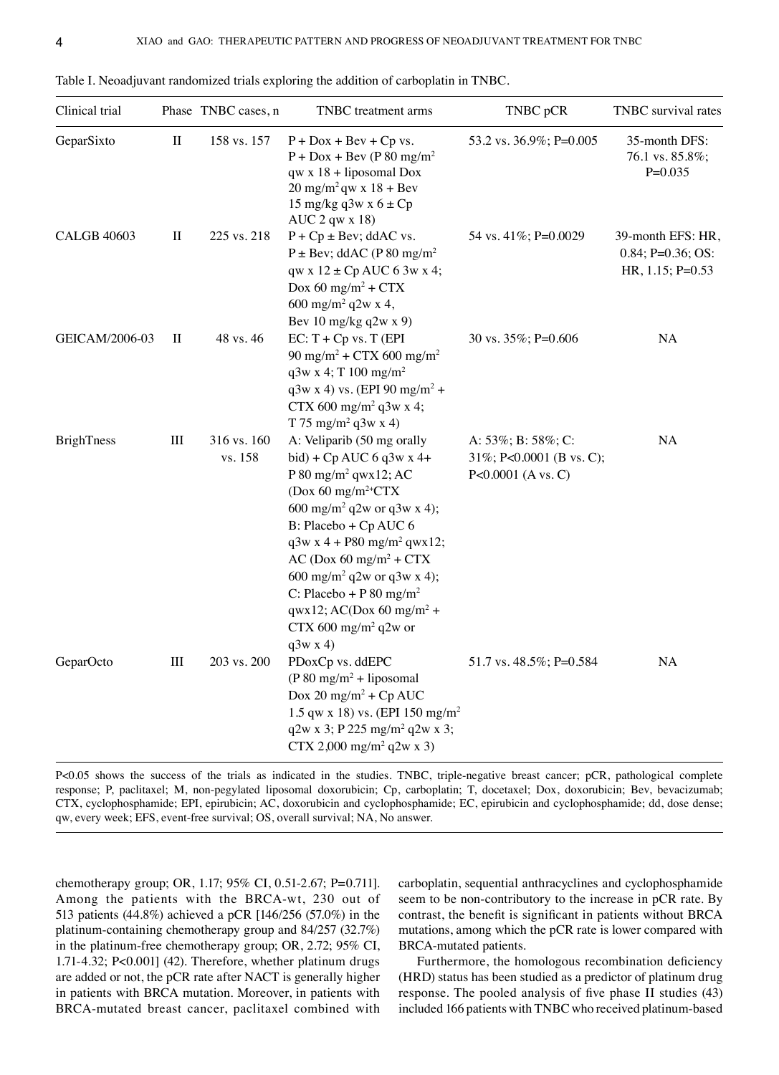| Clinical trial     |           | Phase TNBC cases, n    | TNBC treatment arms                                                                                                                                                                                                                                                                                                                                                                                                                                          | TNBC pCR                                                             | TNBC survival rates                                             |
|--------------------|-----------|------------------------|--------------------------------------------------------------------------------------------------------------------------------------------------------------------------------------------------------------------------------------------------------------------------------------------------------------------------------------------------------------------------------------------------------------------------------------------------------------|----------------------------------------------------------------------|-----------------------------------------------------------------|
| GeparSixto         | $\rm II$  | 158 vs. 157            | $P + Dox + Bev + Cp vs.$<br>$P + Dox + Bev$ (P 80 mg/m <sup>2</sup> )<br>$qw \times 18 + liposomal$ Dox<br>$20 \text{ mg/m}^2$ qw x 18 + Bev<br>15 mg/kg q3w x $6 \pm Cp$<br>$AUC$ 2 qw x 18)                                                                                                                                                                                                                                                                | 53.2 vs. 36.9%; P=0.005                                              | 35-month DFS:<br>76.1 vs. 85.8%;<br>$P=0.035$                   |
| <b>CALGB 40603</b> | $\rm II$  | 225 vs. 218            | $P + Cp \pm Bev$ ; ddAC vs.<br>$P \pm Bev$ ; ddAC (P 80 mg/m <sup>2</sup><br>$qw \times 12 \pm Cp$ AUC 6 3w x 4;<br>Dox 60 mg/m <sup>2</sup> + $CTX$<br>600 mg/m <sup>2</sup> q2w x 4,<br>Bev 10 mg/kg $q2w x 9$ )                                                                                                                                                                                                                                           | 54 vs. 41%; P=0.0029                                                 | 39-month EFS: HR,<br>$0.84; P=0.36; OS:$<br>HR, $1.15$ ; P=0.53 |
| GEICAM/2006-03     | П         | 48 vs. 46              | $EC: T + Cp$ vs. T (EPI<br>90 mg/m <sup>2</sup> + CTX 600 mg/m <sup>2</sup><br>$q3w \times 4$ ; T 100 mg/m <sup>2</sup><br>$q3w x 4) vs. (EPI 90 mg/m2 +$<br>CTX 600 mg/m <sup>2</sup> q3w x 4;<br>T 75 mg/m <sup>2</sup> q3w x 4)                                                                                                                                                                                                                           | 30 vs. 35%; P=0.606                                                  | NA                                                              |
| <b>BrighTness</b>  | $\rm III$ | 316 vs. 160<br>vs. 158 | A: Veliparib (50 mg orally<br>bid) + $Cp$ AUC 6 q3w x 4+<br>P 80 mg/m <sup>2</sup> qwx12; AC<br>(Dox 60 mg/m <sup>2+</sup> CTX<br>600 mg/m <sup>2</sup> q2w or q3w x 4);<br>B: Placebo + Cp AUC 6<br>$q3w x 4 + P80$ mg/m <sup>2</sup> qwx12;<br>$AC (Dox 60 mg/m2 + CTX)$<br>600 mg/m <sup>2</sup> q2w or q3w x 4);<br>C: Placebo + P 80 mg/m <sup>2</sup><br>$qwx12$ ; AC(Dox 60 mg/m <sup>2</sup> +<br>CTX 600 mg/m <sup>2</sup> q2w or<br>$q3w \times 4$ | A: 53%; B: 58%; C:<br>31%; P<0.0001 (B vs. C);<br>P<0.0001 (A vs. C) | NA                                                              |
| GeparOcto          | $\rm III$ | 203 vs. 200            | PDoxCp vs. ddEPC<br>$(P 80 mg/m2 + liposomal$<br>Dox 20 mg/m <sup>2</sup> + Cp AUC<br>1.5 qw x 18) vs. (EPI 150 mg/m <sup>2</sup><br>$q2w x 3$ ; P 225 mg/m <sup>2</sup> q2w x 3;<br>$CTX 2,000$ mg/m <sup>2</sup> q2w x 3)                                                                                                                                                                                                                                  | 51.7 vs. 48.5%; P=0.584                                              | NA                                                              |

Table I. Neoadjuvant randomized trials exploring the addition of carboplatin in TNBC.

P<0.05 shows the success of the trials as indicated in the studies. TNBC, triple-negative breast cancer; pCR, pathological complete response; P, paclitaxel; M, non-pegylated liposomal doxorubicin; Cp, carboplatin; T, docetaxel; Dox, doxorubicin; Bev, bevacizumab; CTX, cyclophosphamide; EPI, epirubicin; AC, doxorubicin and cyclophosphamide; EC, epirubicin and cyclophosphamide; dd, dose dense; qw, every week; EFS, event-free survival; OS, overall survival; NA, No answer.

chemotherapy group; OR, 1.17; 95% CI, 0.51‑2.67; P=0.711]. Among the patients with the BRCA‑wt, 230 out of 513 patients (44.8%) achieved a pCR [146/256 (57.0%) in the platinum‑containing chemotherapy group and 84/257 (32.7%) in the platinum‑free chemotherapy group; OR, 2.72; 95% CI, 1.71‑4.32; P<0.001] (42). Therefore, whether platinum drugs are added or not, the pCR rate after NACT is generally higher in patients with BRCA mutation. Moreover, in patients with BRCA‑mutated breast cancer, paclitaxel combined with carboplatin, sequential anthracyclines and cyclophosphamide seem to be non-contributory to the increase in pCR rate. By contrast, the benefit is significant in patients without BRCA mutations, among which the pCR rate is lower compared with BRCA‑mutated patients.

Furthermore, the homologous recombination deficiency (HRD) status has been studied as a predictor of platinum drug response. The pooled analysis of five phase II studies (43) included 166 patients with TNBC who received platinum-based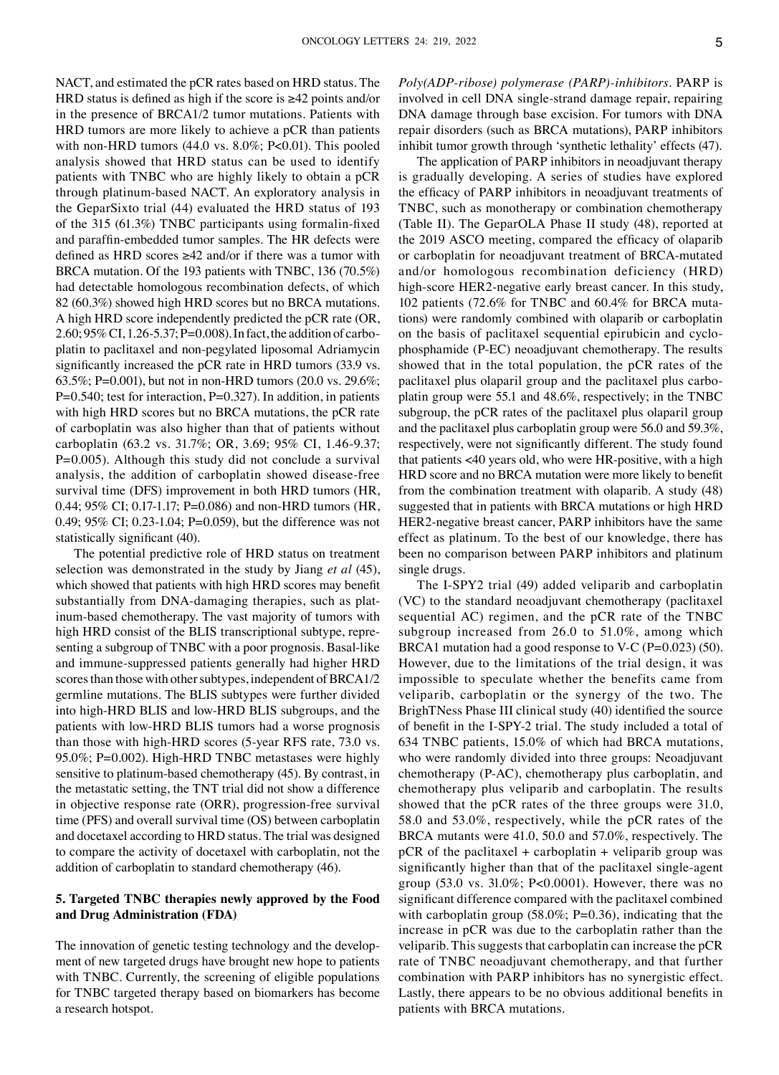NACT, and estimated the pCR rates based on HRD status. The HRD status is defined as high if the score is ≥42 points and/or in the presence of BRCA1/2 tumor mutations. Patients with HRD tumors are more likely to achieve a pCR than patients with non-HRD tumors  $(44.0 \text{ vs. } 8.0\%; P<0.01)$ . This pooled analysis showed that HRD status can be used to identify patients with TNBC who are highly likely to obtain a pCR through platinum‑based NACT. An exploratory analysis in the GeparSixto trial (44) evaluated the HRD status of 193 of the 315 (61.3%) TNBC participants using formalin‑fixed and paraffin‑embedded tumor samples. The HR defects were defined as HRD scores ≥42 and/or if there was a tumor with BRCA mutation. Of the 193 patients with TNBC, 136 (70.5%) had detectable homologous recombination defects, of which 82 (60.3%) showed high HRD scores but no BRCA mutations. A high HRD score independently predicted the pCR rate (OR, 2.60; 95% CI, 1.26-5.37; P=0.008). In fact, the addition of carboplatin to paclitaxel and non‑pegylated liposomal Adriamycin significantly increased the pCR rate in HRD tumors (33.9 vs. 63.5%; P=0.001), but not in non‑HRD tumors (20.0 vs. 29.6%; P=0.540; test for interaction, P=0.327). In addition, in patients with high HRD scores but no BRCA mutations, the pCR rate of carboplatin was also higher than that of patients without carboplatin (63.2 vs. 31.7%; OR, 3.69; 95% CI, 1.46‑9.37; P=0.005). Although this study did not conclude a survival analysis, the addition of carboplatin showed disease-free survival time (DFS) improvement in both HRD tumors (HR, 0.44; 95% CI; 0.17‑1.17; P=0.086) and non‑HRD tumors (HR, 0.49; 95% CI; 0.23‑1.04; P=0.059), but the difference was not statistically significant (40).

The potential predictive role of HRD status on treatment selection was demonstrated in the study by Jiang *et al* (45), which showed that patients with high HRD scores may benefit substantially from DNA-damaging therapies, such as platinum‑based chemotherapy. The vast majority of tumors with high HRD consist of the BLIS transcriptional subtype, representing a subgroup of TNBC with a poor prognosis. Basal-like and immune‑suppressed patients generally had higher HRD scores than those with other subtypes, independent of BRCA1/2 germline mutations. The BLIS subtypes were further divided into high-HRD BLIS and low-HRD BLIS subgroups, and the patients with low‑HRD BLIS tumors had a worse prognosis than those with high-HRD scores (5-year RFS rate, 73.0 vs. 95.0%; P=0.002). High-HRD TNBC metastases were highly sensitive to platinum-based chemotherapy (45). By contrast, in the metastatic setting, the TNT trial did not show a difference in objective response rate (ORR), progression-free survival time (PFS) and overall survival time (OS) between carboplatin and docetaxel according to HRD status. The trial was designed to compare the activity of docetaxel with carboplatin, not the addition of carboplatin to standard chemotherapy (46).

# **5. Targeted TNBC therapies newly approved by the Food and Drug Administration (FDA)**

The innovation of genetic testing technology and the development of new targeted drugs have brought new hope to patients with TNBC. Currently, the screening of eligible populations for TNBC targeted therapy based on biomarkers has become a research hotspot.

*Poly(ADP‑ribose) polymerase (PARP)‑inhibitors.* PARP is involved in cell DNA single‑strand damage repair, repairing DNA damage through base excision. For tumors with DNA repair disorders (such as BRCA mutations), PARP inhibitors inhibit tumor growth through 'synthetic lethality' effects (47).

The application of PARP inhibitors in neoadjuvant therapy is gradually developing. A series of studies have explored the efficacy of PARP inhibitors in neoadjuvant treatments of TNBC, such as monotherapy or combination chemotherapy (Table II). The GeparOLA Phase II study (48), reported at the 2019 ASCO meeting, compared the efficacy of olaparib or carboplatin for neoadjuvant treatment of BRCA‑mutated and/or homologous recombination deficiency (HRD) high-score HER2-negative early breast cancer. In this study, 102 patients (72.6% for TNBC and 60.4% for BRCA muta‑ tions) were randomly combined with olaparib or carboplatin on the basis of paclitaxel sequential epirubicin and cyclophosphamide (P‑EC) neoadjuvant chemotherapy. The results showed that in the total population, the pCR rates of the paclitaxel plus olaparil group and the paclitaxel plus carboplatin group were 55.1 and 48.6%, respectively; in the TNBC subgroup, the pCR rates of the paclitaxel plus olaparil group and the paclitaxel plus carboplatin group were 56.0 and 59.3%, respectively, were not significantly different. The study found that patients <40 years old, who were HR-positive, with a high HRD score and no BRCA mutation were more likely to benefit from the combination treatment with olaparib. A study (48) suggested that in patients with BRCA mutations or high HRD HER2‑negative breast cancer, PARP inhibitors have the same effect as platinum. To the best of our knowledge, there has been no comparison between PARP inhibitors and platinum single drugs.

The I‑SPY2 trial (49) added veliparib and carboplatin (VC) to the standard neoadjuvant chemotherapy (paclitaxel sequential AC) regimen, and the pCR rate of the TNBC subgroup increased from 26.0 to 51.0%, among which BRCA1 mutation had a good response to V-C (P= $0.023$ ) (50). However, due to the limitations of the trial design, it was impossible to speculate whether the benefits came from veliparib, carboplatin or the synergy of the two. The BrighTNess Phase III clinical study (40) identified the source of benefit in the I‑SPY‑2 trial. The study included a total of 634 TNBC patients, 15.0% of which had BRCA mutations, who were randomly divided into three groups: Neoadjuvant chemotherapy (P‑AC), chemotherapy plus carboplatin, and chemotherapy plus veliparib and carboplatin. The results showed that the pCR rates of the three groups were 31.0, 58.0 and 53.0%, respectively, while the pCR rates of the BRCA mutants were 41.0, 50.0 and 57.0%, respectively. The  $pCR$  of the paclitaxel + carboplatin + veliparib group was significantly higher than that of the paclitaxel single‑agent group (53.0 vs. 3l.0%; P<0.0001). However, there was no significant difference compared with the paclitaxel combined with carboplatin group  $(58.0\%; P=0.36)$ , indicating that the increase in pCR was due to the carboplatin rather than the veliparib. This suggests that carboplatin can increase the pCR rate of TNBC neoadjuvant chemotherapy, and that further combination with PARP inhibitors has no synergistic effect. Lastly, there appears to be no obvious additional benefits in patients with BRCA mutations.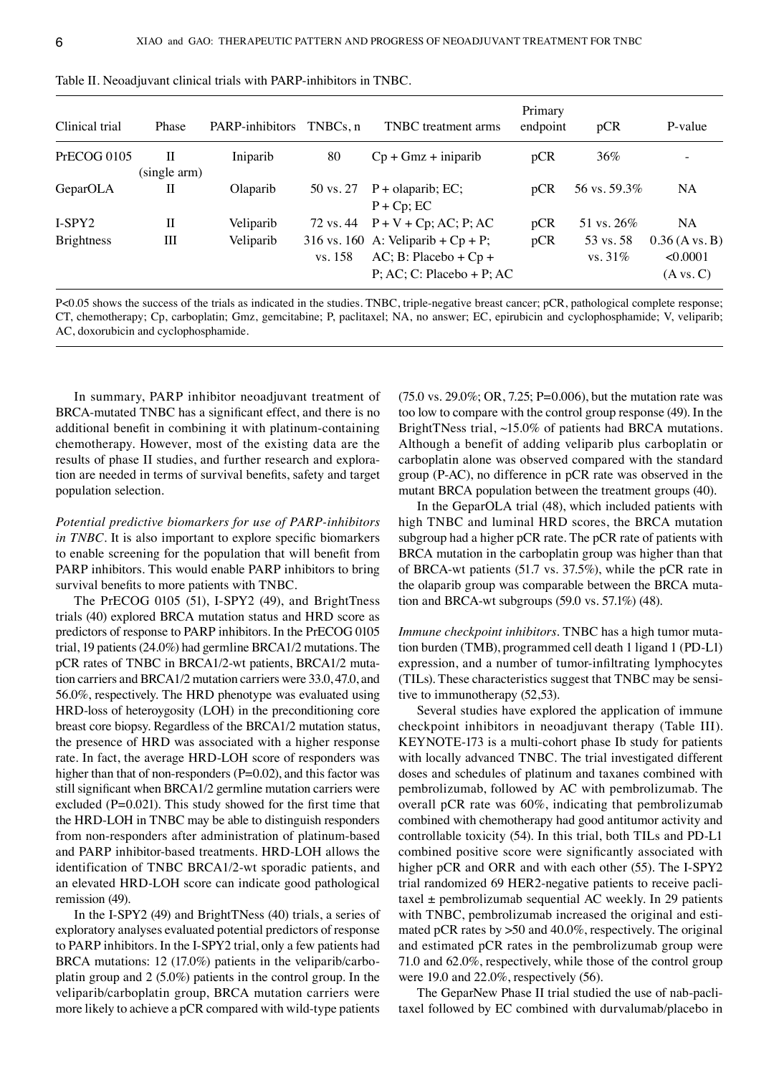| Clinical trial    | Phase             | PARP-inhibitors | TNBCs.n   | TNBC treatment arms                                                                                 | Primary<br>endpoint | pCR                     | P-value                                   |
|-------------------|-------------------|-----------------|-----------|-----------------------------------------------------------------------------------------------------|---------------------|-------------------------|-------------------------------------------|
| PrECOG 0105       | Н<br>(single arm) | Iniparib        | 80        | $Cp + Gmz + injarib$                                                                                | pCR                 | $36\%$                  | $\overline{a}$                            |
| GeparOLA          | П                 | Olaparib        | 50 vs. 27 | $P +$ olaparib; EC;<br>$P + Cp$ ; EC                                                                | pCR                 | 56 vs. 59.3%            | <b>NA</b>                                 |
| $I-SPY2$          | $_{\rm II}$       | Veliparib       |           | 72 vs. 44 $P + V + Cp$ ; AC; P; AC                                                                  | pCR                 | 51 vs. $26\%$           | <b>NA</b>                                 |
| <b>Brightness</b> | Ш                 | Veliparib       | vs. 158   | 316 vs. 160 A: Veliparib + $Cp + P$ ;<br>$AC$ ; B: Placebo + $Cp$ +<br>$P$ ; AC; C: Placebo + P; AC | pCR                 | 53 vs. 58<br>vs. $31\%$ | $0.36$ (A vs. B)<br>< 0.0001<br>(A vs. C) |

Table II. Neoadjuvant clinical trials with PARP‑inhibitors in TNBC.

P<0.05 shows the success of the trials as indicated in the studies. TNBC, triple-negative breast cancer; pCR, pathological complete response; CT, chemotherapy; Cp, carboplatin; Gmz, gemcitabine; P, paclitaxel; NA, no answer; EC, epirubicin and cyclophosphamide; V, veliparib; AC, doxorubicin and cyclophosphamide.

In summary, PARP inhibitor neoadjuvant treatment of BRCA-mutated TNBC has a significant effect, and there is no additional benefit in combining it with platinum‑containing chemotherapy. However, most of the existing data are the results of phase II studies, and further research and exploration are needed in terms of survival benefits, safety and target population selection.

*Potential predictive biomarkers for use of PARP‑inhibitors in TNBC*. It is also important to explore specific biomarkers to enable screening for the population that will benefit from PARP inhibitors. This would enable PARP inhibitors to bring survival benefits to more patients with TNBC.

The PrECOG 0105 (51), I-SPY2 (49), and BrightTness trials (40) explored BRCA mutation status and HRD score as predictors of response to PARP inhibitors. In the PrECOG 0105 trial, 19 patients (24.0%) had germline BRCA1/2 mutations. The pCR rates of TNBC in BRCA1/2-wt patients, BRCA1/2 mutation carriers and BRCA1/2 mutation carriers were 33.0, 47.0, and 56.0%, respectively. The HRD phenotype was evaluated using HRD-loss of heteroygosity (LOH) in the preconditioning core breast core biopsy. Regardless of the BRCA1/2 mutation status, the presence of HRD was associated with a higher response rate. In fact, the average HRD‑LOH score of responders was higher than that of non-responders (P=0.02), and this factor was still significant when BRCA1/2 germline mutation carriers were excluded  $(P=0.021)$ . This study showed for the first time that the HRD‑LOH in TNBC may be able to distinguish responders from non-responders after administration of platinum-based and PARP inhibitor-based treatments. HRD-LOH allows the identification of TNBC BRCA1/2‑wt sporadic patients, and an elevated HRD‑LOH score can indicate good pathological remission (49).

In the I‑SPY2 (49) and BrightTNess (40) trials, a series of exploratory analyses evaluated potential predictors of response to PARP inhibitors. In the I‑SPY2 trial, only a few patients had BRCA mutations: 12 (17.0%) patients in the veliparib/carboplatin group and 2 (5.0%) patients in the control group. In the veliparib/carboplatin group, BRCA mutation carriers were more likely to achieve a pCR compared with wild-type patients (75.0 vs. 29.0%; OR, 7.25; P=0.006), but the mutation rate was too low to compare with the control group response (49). In the BrightTNess trial, ~15.0% of patients had BRCA mutations. Although a benefit of adding veliparib plus carboplatin or carboplatin alone was observed compared with the standard group (P‑AC), no difference in pCR rate was observed in the mutant BRCA population between the treatment groups (40).

In the GeparOLA trial (48), which included patients with high TNBC and luminal HRD scores, the BRCA mutation subgroup had a higher pCR rate. The pCR rate of patients with BRCA mutation in the carboplatin group was higher than that of BRCA‑wt patients (51.7 vs. 37.5%), while the pCR rate in the olaparib group was comparable between the BRCA mutation and BRCA-wt subgroups  $(59.0 \text{ vs. } 57.1\%)$  (48).

*Immune checkpoint inhibitors.* TNBC has a high tumor mutation burden (TMB), programmed cell death 1 ligand 1 (PD‑L1) expression, and a number of tumor-infiltrating lymphocytes (TILs). These characteristics suggest that TNBC may be sensi‑ tive to immunotherapy (52,53).

Several studies have explored the application of immune checkpoint inhibitors in neoadjuvant therapy (Table III). KEYNOTE-173 is a multi-cohort phase Ib study for patients with locally advanced TNBC. The trial investigated different doses and schedules of platinum and taxanes combined with pembrolizumab, followed by AC with pembrolizumab. The overall pCR rate was 60%, indicating that pembrolizumab combined with chemotherapy had good antitumor activity and controllable toxicity (54). In this trial, both TILs and PD‑L1 combined positive score were significantly associated with higher pCR and ORR and with each other (55). The I-SPY2 trial randomized 69 HER2‑negative patients to receive pacli‑ taxel  $\pm$  pembrolizumab sequential AC weekly. In 29 patients with TNBC, pembrolizumab increased the original and estimated pCR rates by >50 and 40.0%, respectively. The original and estimated pCR rates in the pembrolizumab group were 71.0 and 62.0%, respectively, while those of the control group were 19.0 and 22.0%, respectively (56).

The GeparNew Phase II trial studied the use of nab-paclitaxel followed by EC combined with durvalumab/placebo in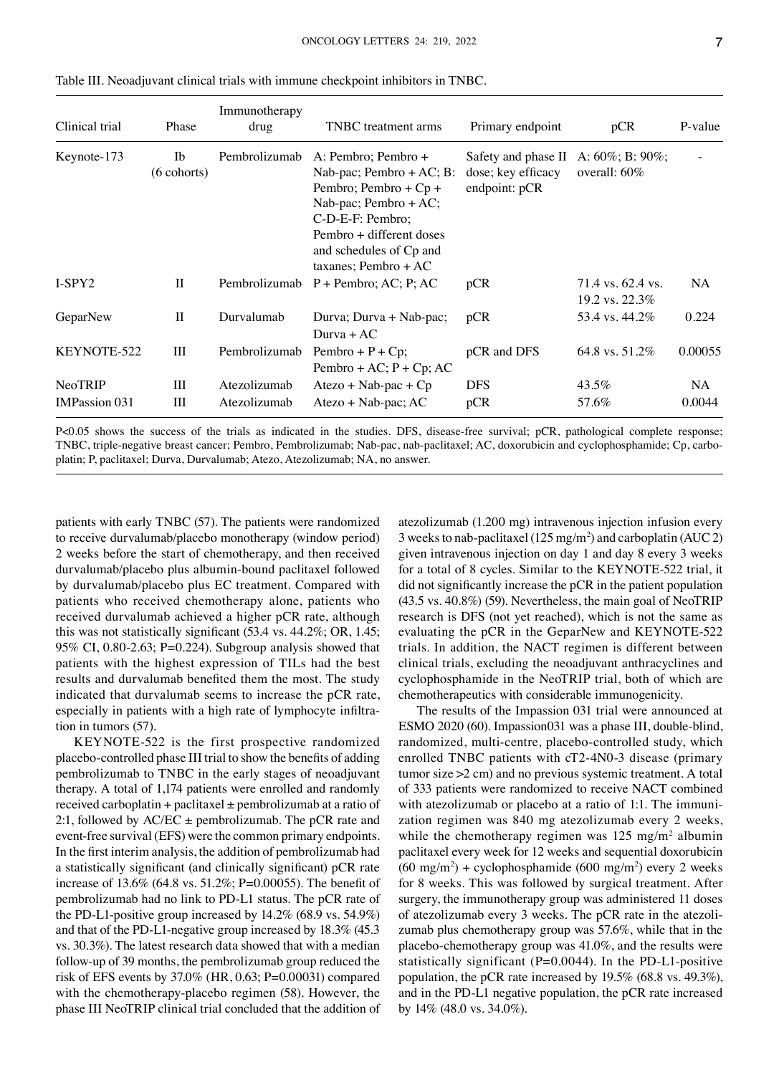| Clinical trial                  | Phase               | Immunotherapy<br>drug        | TNBC treatment arms                                                                                                                                                                                            | Primary endpoint                                           | pCR                                        | P-value       |
|---------------------------------|---------------------|------------------------------|----------------------------------------------------------------------------------------------------------------------------------------------------------------------------------------------------------------|------------------------------------------------------------|--------------------------------------------|---------------|
| Keynote-173                     | Ib<br>$(6$ cohorts) | Pembrolizumab                | A: Pembro; Pembro +<br>Nab-pac; Pembro $+ AC; B$ :<br>Pembro; Pembro + $Cp +$<br>Nab-pac; Pembro + $AC$ ;<br>C-D-E-F: Pembro;<br>Pembro + different doses<br>and schedules of Cp and<br>taxanes; Pembro + $AC$ | Safety and phase II<br>dose; key efficacy<br>endpoint: pCR | A: $60\%$ ; B: $90\%$ ;<br>overall: $60\%$ |               |
| I-SPY2                          | $\mathbf{I}$        | Pembrolizumab                | $P +$ Pembro; AC; P; AC                                                                                                                                                                                        | pCR                                                        | 71.4 vs. 62.4 vs.<br>19.2 vs. 22.3%        | <b>NA</b>     |
| GeparNew                        | $_{\rm II}$         | Durvalumab                   | Durva; Durva + Nab-pac;<br>$Durva + AC$                                                                                                                                                                        | pCR                                                        | 53.4 vs. 44.2%                             | 0.224         |
| KEYNOTE-522                     | Ш                   | Pembrolizumab                | Pembro + $P$ + $Cp$ ;<br>Pembro + AC; $P$ + Cp; AC                                                                                                                                                             | pCR and DFS                                                | 64.8 vs. 51.2%                             | 0.00055       |
| NeoTRIP<br><b>IMPassion 031</b> | Ш<br>Ш              | Atezolizumab<br>Atezolizumab | $Atezo + Nab-pac + Cp$<br>$Atezo + Nab-pac; AC$                                                                                                                                                                | <b>DFS</b><br>pCR                                          | 43.5%<br>57.6%                             | NA.<br>0.0044 |

Table III. Neoadjuvant clinical trials with immune checkpoint inhibitors in TNBC.

P<0.05 shows the success of the trials as indicated in the studies. DFS, disease-free survival; pCR, pathological complete response; TNBC, triple-negative breast cancer; Pembro, Pembrolizumab; Nab-pac, nab-paclitaxel; AC, doxorubicin and cyclophosphamide; Cp, carboplatin; P, paclitaxel; Durva, Durvalumab; Atezo, Atezolizumab; NA, no answer.

patients with early TNBC (57). The patients were randomized to receive durvalumab/placebo monotherapy (window period) 2 weeks before the start of chemotherapy, and then received durvalumab/placebo plus albumin‑bound paclitaxel followed by durvalumab/placebo plus EC treatment. Compared with patients who received chemotherapy alone, patients who received durvalumab achieved a higher pCR rate, although this was not statistically significant (53.4 vs. 44.2%; OR, 1.45; 95% CI, 0.80-2.63; P=0.224). Subgroup analysis showed that patients with the highest expression of TILs had the best results and durvalumab benefited them the most. The study indicated that durvalumab seems to increase the pCR rate, especially in patients with a high rate of lymphocyte infiltration in tumors (57).

KEYNOTE-522 is the first prospective randomized placebo‑controlled phase III trial to show the benefits of adding pembrolizumab to TNBC in the early stages of neoadjuvant therapy. A total of 1,174 patients were enrolled and randomly received carboplatin + paclitaxel  $\pm$  pembrolizumab at a ratio of 2:1, followed by  $AC/EC \pm$  pembrolizumab. The pCR rate and event-free survival (EFS) were the common primary endpoints. In the first interim analysis, the addition of pembrolizumab had a statistically significant (and clinically significant) pCR rate increase of 13.6% (64.8 vs. 51.2%; P=0.00055). The benefit of pembrolizumab had no link to PD‑L1 status. The pCR rate of the PD-L1-positive group increased by 14.2% (68.9 vs. 54.9%) and that of the PD-L1-negative group increased by 18.3% (45.3) vs. 30.3%). The latest research data showed that with a median follow‑up of 39 months, the pembrolizumab group reduced the risk of EFS events by 37.0% (HR, 0.63; P=0.00031) compared with the chemotherapy-placebo regimen (58). However, the phase III NeoTRIP clinical trial concluded that the addition of atezolizumab (1.200 mg) intravenous injection infusion every 3 weeks to nab-paclitaxel ( $125 \text{ mg/m}^2$ ) and carboplatin (AUC 2) given intravenous injection on day 1 and day 8 every 3 weeks for a total of 8 cycles. Similar to the KEYNOTE‑522 trial, it did not significantly increase the pCR in the patient population (43.5 vs. 40.8%) (59). Nevertheless, the main goal of NeoTRIP research is DFS (not yet reached), which is not the same as evaluating the pCR in the GeparNew and KEYNOTE-522 trials. In addition, the NACT regimen is different between clinical trials, excluding the neoadjuvant anthracyclines and cyclophosphamide in the NeoTRIP trial, both of which are chemotherapeutics with considerable immunogenicity.

The results of the Impassion 031 trial were announced at ESMO 2020 (60). Impassion031 was a phase III, double-blind, randomized, multi-centre, placebo-controlled study, which enrolled TNBC patients with cT2-4N0-3 disease (primary tumor size >2 cm) and no previous systemic treatment. A total of 333 patients were randomized to receive NACT combined with atezolizumab or placebo at a ratio of 1:1. The immunization regimen was 840 mg atezolizumab every 2 weeks, while the chemotherapy regimen was  $125 \text{ mg/m}^2$  albumin paclitaxel every week for 12 weeks and sequential doxorubicin  $(60 \text{ mg/m}^2)$  + cyclophosphamide  $(600 \text{ mg/m}^2)$  every 2 weeks for 8 weeks. This was followed by surgical treatment. After surgery, the immunotherapy group was administered 11 doses of atezolizumab every 3 weeks. The pCR rate in the atezolizumab plus chemotherapy group was 57.6%, while that in the placebo‑chemotherapy group was 41.0%, and the results were statistically significant ( $P=0.0044$ ). In the PD-L1-positive population, the pCR rate increased by 19.5% (68.8 vs. 49.3%), and in the PD-L1 negative population, the pCR rate increased by 14% (48.0 vs. 34.0%).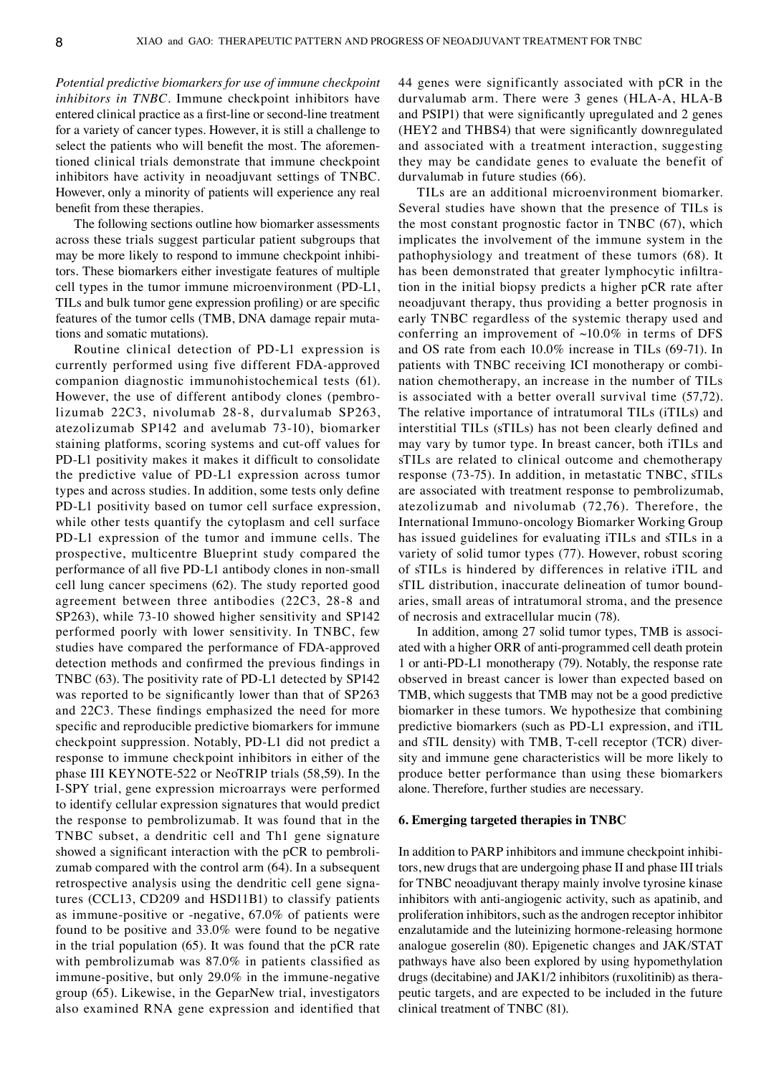*Potential predictive biomarkers for use of immune checkpoint inhibitors in TNBC.* Immune checkpoint inhibitors have entered clinical practice as a first-line or second-line treatment for a variety of cancer types. However, it is still a challenge to select the patients who will benefit the most. The aforementioned clinical trials demonstrate that immune checkpoint inhibitors have activity in neoadjuvant settings of TNBC. However, only a minority of patients will experience any real benefit from these therapies.

The following sections outline how biomarker assessments across these trials suggest particular patient subgroups that may be more likely to respond to immune checkpoint inhibitors. These biomarkers either investigate features of multiple cell types in the tumor immune microenvironment (PD‑L1, TILs and bulk tumor gene expression profiling) or are specific features of the tumor cells (TMB, DNA damage repair mutations and somatic mutations).

Routine clinical detection of PD‑L1 expression is currently performed using five different FDA‑approved companion diagnostic immunohistochemical tests (61). However, the use of different antibody clones (pembrolizumab 22C3, nivolumab 28‑8, durvalumab SP263, atezolizumab SP142 and avelumab 73‑10), biomarker staining platforms, scoring systems and cut‑off values for PD-L1 positivity makes it makes it difficult to consolidate the predictive value of PD‑L1 expression across tumor types and across studies. In addition, some tests only define PD-L1 positivity based on tumor cell surface expression, while other tests quantify the cytoplasm and cell surface PD-L1 expression of the tumor and immune cells. The prospective, multicentre Blueprint study compared the performance of all five PD‑L1 antibody clones in non‑small cell lung cancer specimens (62). The study reported good agreement between three antibodies (22C3, 28‑8 and SP263), while 73‑10 showed higher sensitivity and SP142 performed poorly with lower sensitivity. In TNBC, few studies have compared the performance of FDA‑approved detection methods and confirmed the previous findings in TNBC (63). The positivity rate of PD‑L1 detected by SP142 was reported to be significantly lower than that of SP263 and 22C3. These findings emphasized the need for more specific and reproducible predictive biomarkers for immune checkpoint suppression. Notably, PD‑L1 did not predict a response to immune checkpoint inhibitors in either of the phase III KEYNOTE‑522 or NeoTRIP trials (58,59). In the I‑SPY trial, gene expression microarrays were performed to identify cellular expression signatures that would predict the response to pembrolizumab. It was found that in the TNBC subset, a dendritic cell and Th1 gene signature showed a significant interaction with the pCR to pembrolizumab compared with the control arm (64). In a subsequent retrospective analysis using the dendritic cell gene signatures (CCL13, CD209 and HSD11B1) to classify patients as immune-positive or -negative, 67.0% of patients were found to be positive and 33.0% were found to be negative in the trial population (65). It was found that the pCR rate with pembrolizumab was 87.0% in patients classified as immune-positive, but only 29.0% in the immune-negative group (65). Likewise, in the GeparNew trial, investigators also examined RNA gene expression and identified that 44 genes were significantly associated with pCR in the durvalumab arm. There were 3 genes (HLA-A, HLA-B and PSIP1) that were significantly upregulated and 2 genes (HEY2 and THBS4) that were significantly downregulated and associated with a treatment interaction, suggesting they may be candidate genes to evaluate the benefit of durvalumab in future studies (66).

TILs are an additional microenvironment biomarker. Several studies have shown that the presence of TILs is the most constant prognostic factor in TNBC (67), which implicates the involvement of the immune system in the pathophysiology and treatment of these tumors (68). It has been demonstrated that greater lymphocytic infiltration in the initial biopsy predicts a higher pCR rate after neoadjuvant therapy, thus providing a better prognosis in early TNBC regardless of the systemic therapy used and conferring an improvement of  $~10.0\%$  in terms of DFS and OS rate from each 10.0% increase in TILs (69‑71). In patients with TNBC receiving ICI monotherapy or combination chemotherapy, an increase in the number of TILs is associated with a better overall survival time (57,72). The relative importance of intratumoral TILs (iTILs) and interstitial TILs (sTILs) has not been clearly defined and may vary by tumor type. In breast cancer, both iTILs and sTILs are related to clinical outcome and chemotherapy response (73‑75). In addition, in metastatic TNBC, sTILs are associated with treatment response to pembrolizumab, atezolizumab and nivolumab (72,76). Therefore, the International Immuno‑oncology Biomarker Working Group has issued guidelines for evaluating iTILs and sTILs in a variety of solid tumor types (77). However, robust scoring of sTILs is hindered by differences in relative iTIL and sTIL distribution, inaccurate delineation of tumor boundaries, small areas of intratumoral stroma, and the presence of necrosis and extracellular mucin (78).

In addition, among 27 solid tumor types, TMB is associated with a higher ORR of anti‑programmed cell death protein 1 or anti‑PD‑L1 monotherapy (79). Notably, the response rate observed in breast cancer is lower than expected based on TMB, which suggests that TMB may not be a good predictive biomarker in these tumors. We hypothesize that combining predictive biomarkers (such as PD‑L1 expression, and iTIL and sTIL density) with TMB, T-cell receptor (TCR) diversity and immune gene characteristics will be more likely to produce better performance than using these biomarkers alone. Therefore, further studies are necessary.

## **6. Emerging targeted therapies in TNBC**

In addition to PARP inhibitors and immune checkpoint inhibitors, new drugs that are undergoing phase II and phase III trials for TNBC neoadjuvant therapy mainly involve tyrosine kinase inhibitors with anti-angiogenic activity, such as apatinib, and proliferation inhibitors, such as the androgen receptor inhibitor enzalutamide and the luteinizing hormone‑releasing hormone analogue goserelin (80). Epigenetic changes and JAK/STAT pathways have also been explored by using hypomethylation drugs (decitabine) and JAK1/2 inhibitors (ruxolitinib) as thera‑ peutic targets, and are expected to be included in the future clinical treatment of TNBC (81).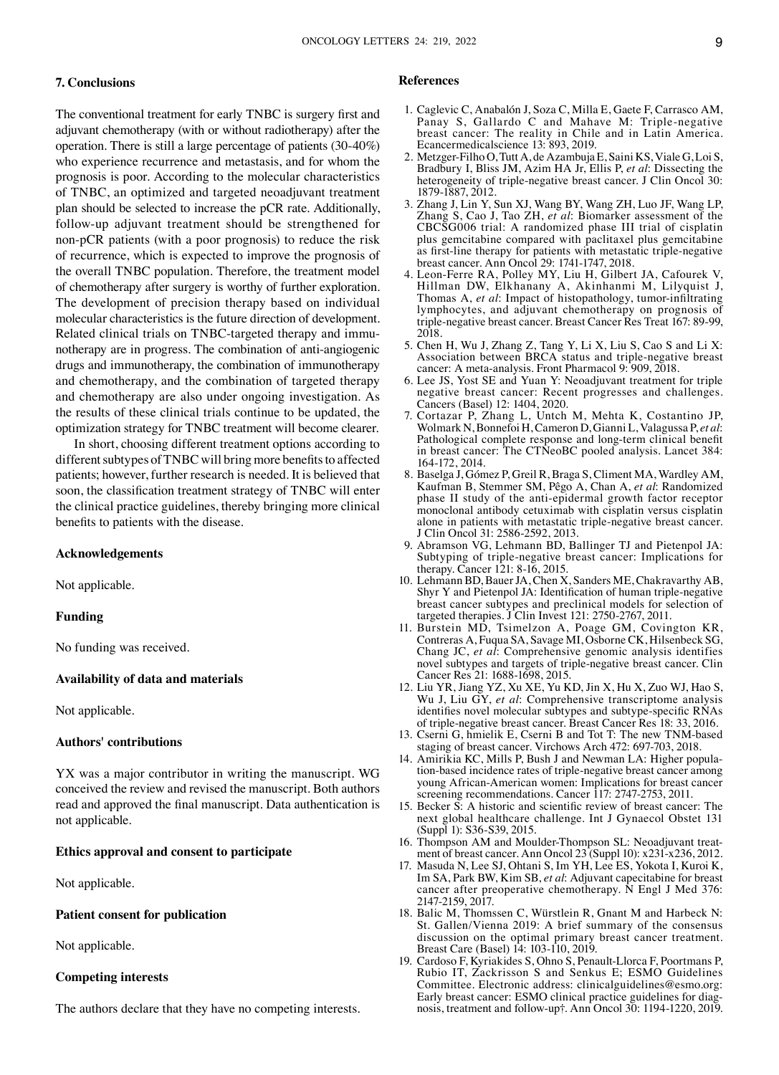# **7. Conclusions**

The conventional treatment for early TNBC is surgery first and adjuvant chemotherapy (with or without radiotherapy) after the operation. There is still a large percentage of patients (30‑40%) who experience recurrence and metastasis, and for whom the prognosis is poor. According to the molecular characteristics of TNBC, an optimized and targeted neoadjuvant treatment plan should be selected to increase the pCR rate. Additionally, follow‑up adjuvant treatment should be strengthened for non‑pCR patients (with a poor prognosis) to reduce the risk of recurrence, which is expected to improve the prognosis of the overall TNBC population. Therefore, the treatment model of chemotherapy after surgery is worthy of further exploration. The development of precision therapy based on individual molecular characteristics is the future direction of development. Related clinical trials on TNBC-targeted therapy and immunotherapy are in progress. The combination of anti-angiogenic drugs and immunotherapy, the combination of immunotherapy and chemotherapy, and the combination of targeted therapy and chemotherapy are also under ongoing investigation. As the results of these clinical trials continue to be updated, the optimization strategy for TNBC treatment will become clearer.

In short, choosing different treatment options according to different subtypes of TNBC will bring more benefits to affected patients; however, further research is needed. It is believed that soon, the classification treatment strategy of TNBC will enter the clinical practice guidelines, thereby bringing more clinical benefits to patients with the disease.

#### **Acknowledgements**

Not applicable.

## **Funding**

No funding was received.

# **Availability of data and materials**

Not applicable.

# **Authors' contributions**

YX was a major contributor in writing the manuscript. WG conceived the review and revised the manuscript. Both authors read and approved the final manuscript. Data authentication is not applicable.

## **Ethics approval and consent to participate**

Not applicable.

# **Patient consent for publication**

Not applicable.

## **Competing interests**

The authors declare that they have no competing interests.

#### **References**

- 1. Caglevic C, Anabalón J, Soza C, Milla E, Gaete F, Carrasco AM, Panay S, Gallardo C and Mahave M: Triple-negative breast cancer: The reality in Chile and in Latin America. Ecancermedicalscience 13: 893, 2019.
- 2. Metzger-Filho O, Tutt A, de Azambuja E, Saini KS, Viale G, Loi S, Bradbury I, Bliss JM, Azim HA Jr, Ellis P, *et al*: Dissecting the heterogeneity of triple-negative breast cancer. J Clin Oncol 30: 1879‑1887, 2012.
- 3. Zhang J, Lin Y, Sun XJ, Wang BY, Wang ZH, Luo JF, Wang LP, Zhang S, Cao J, Tao ZH, *et al*: Biomarker assessment of the CBCSG006 trial: A randomized phase III trial of cisplatin plus gemcitabine compared with paclitaxel plus gemcitabine as first-line therapy for patients with metastatic triple-negative breast cancer. Ann Oncol 29: 1741‑1747, 2018.
- 4. Leon‑Ferre RA, Polley MY, Liu H, Gilbert JA, Cafourek V, Hillman DW, Elkhanany A, Akinhanmi M, Lilyquist J, Thomas A, *et al*: Impact of histopathology, tumor‑infiltrating lymphocytes, and adjuvant chemotherapy on prognosis of triple‑negative breast cancer. Breast Cancer Res Treat 167: 89‑99, 2018.
- 5. Chen H, Wu J, Zhang Z, Tang Y, Li X, Liu S, Cao S and Li X: Association between BRCA status and triple‑negative breast cancer: A meta-analysis. Front Pharmacol 9: 909, 2018.
- 6. Lee JS, Yost SE and Yuan Y: Neoadjuvant treatment for triple negative breast cancer: Recent progresses and challenges. Cancers (Basel) 12: 1404, 2020.
- 7. Cortazar P, Zhang L, Untch M, Mehta K, Costantino JP, Wolmark N, Bonnefoi H, Cameron D, Gianni L, Valagussa P, *et al*: Pathological complete response and long‑term clinical benefit in breast cancer: The CTNeoBC pooled analysis. Lancet 384: 164‑172, 2014.
- 8. Baselga J, Gómez P, Greil R, Braga S, Climent MA, Wardley AM, Kaufman B, Stemmer SM, Pêgo A, Chan A, *et al*: Randomized phase II study of the anti‑epidermal growth factor receptor monoclonal antibody cetuximab with cisplatin versus cisplatin alone in patients with metastatic triple‑negative breast cancer. J Clin Oncol 31: 2586‑2592, 2013.
- 9. Abramson VG, Lehmann BD, Ballinger TJ and Pietenpol JA: Subtyping of triple-negative breast cancer: Implications for therapy. Cancer 121: 8‑16, 2015.
- 10. Lehmann BD, Bauer JA, Chen X, Sanders ME, Chakravarthy AB, Shyr Y and Pietenpol JA: Identification of human triple-negative breast cancer subtypes and preclinical models for selection of targeted therapies. J Clin Invest 121: 2750-2767, 2011.
- 11. Burstein MD, Tsimelzon A, Poage GM, Covington KR, Contreras A, Fuqua SA, Savage MI, Osborne CK, Hilsenbeck SG, Chang JC, *et al*: Comprehensive genomic analysis identifies novel subtypes and targets of triple‑negative breast cancer. Clin Cancer Res 21: 1688‑1698, 2015.
- 12. Liu YR, Jiang YZ, Xu XE, Yu KD, Jin X, Hu X, Zuo WJ, Hao S, Wu J, Liu GY, *et al*: Comprehensive transcriptome analysis identifies novel molecular subtypes and subtype-specific RNAs of triple‑negative breast cancer. Breast Cancer Res 18: 33, 2016.
- 13. Cserni G, hmielik E, Cserni B and Tot T: The new TNM‑based staging of breast cancer. Virchows Arch 472: 697‑703, 2018.
- 14. Amirikia KC, Mills P, Bush J and Newman LA: Higher population-based incidence rates of triple-negative breast cancer among young African‑American women: Implications for breast cancer screening recommendations. Cancer 117: 2747-2753, 2011.
- 15. Becker S: A historic and scientific review of breast cancer: The next global healthcare challenge. Int J Gynaecol Obstet 131 (Suppl 1): S36‑S39, 2015.
- 16. Thompson AM and Moulder-Thompson SL: Neoadjuvant treatment of breast cancer. Ann Oncol 23 (Suppl 10): x231‑x236, 2012.
- 17. Masuda N, Lee SJ, Ohtani S, Im YH, Lee ES, Yokota I, Kuroi K, Im SA, Park BW, Kim SB, *et al*: Adjuvant capecitabine for breast cancer after preoperative chemotherapy. N Engl J Med 376: 2147‑2159, 2017.
- 18. Balic M, Thomssen C, Würstlein R, Gnant M and Harbeck N: St. Gallen/Vienna 2019: A brief summary of the consensus discussion on the optimal primary breast cancer treatment. Breast Care (Basel) 14: 103‑110, 2019.
- 19. Cardoso F, Kyriakides S, Ohno S, Penault‑Llorca F, Poortmans P, Rubio IT, Zackrisson S and Senkus E; ESMO Guidelines Committee. Electronic address: clinicalguidelines@esmo.org: Early breast cancer: ESMO clinical practice guidelines for diagnosis, treatment and follow‑up†. Ann Oncol 30: 1194‑1220, 2019.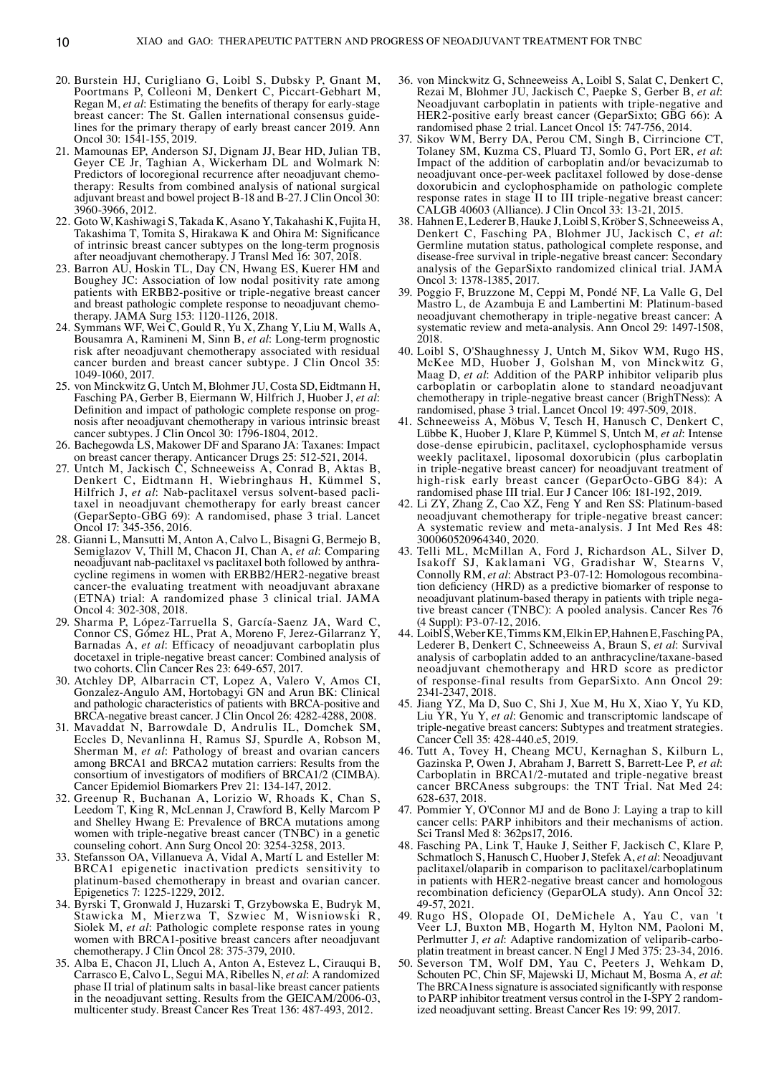- 20. Burstein HJ, Curigliano G, Loibl S, Dubsky P, Gnant M, Poortmans P, Colleoni M, Denkert C, Piccart‑Gebhart M, Regan M, *et al*: Estimating the benefits of therapy for early‑stage breast cancer: The St. Gallen international consensus guidelines for the primary therapy of early breast cancer 2019. Ann Oncol 30: 1541‑155, 2019.
- 21. Mamounas EP, Anderson SJ, Dignam JJ, Bear HD, Julian TB, Geyer CE Jr, Taghian A, Wickerham DL and Wolmark N: Predictors of locoregional recurrence after neoadjuvant chemotherapy: Results from combined analysis of national surgical adjuvant breast and bowel project B‑18 and B‑27. J Clin Oncol 30: 3960‑3966, 2012.
- 22. Goto W, Kashiwagi S, Takada K, Asano Y, Takahashi K, Fujita H, Takashima T, Tomita S, Hirakawa K and Ohira M: Significance of intrinsic breast cancer subtypes on the long‑term prognosis after neoadjuvant chemotherapy. J Transl Med 16: 307, 2018.
- 23. Barron AU, Hoskin TL, Day CN, Hwang ES, Kuerer HM and Boughey JC: Association of low nodal positivity rate among patients with ERBB2‑positive or triple‑negative breast cancer and breast pathologic complete response to neoadjuvant chemotherapy. JAMA Surg 153: 1120‑1126, 2018.
- 24. Symmans WF, Wei C, Gould R, Yu X, Zhang Y, Liu M, Walls A, Bousamra A, Ramineni M, Sinn B, *et al*: Long‑term prognostic risk after neoadjuvant chemotherapy associated with residual cancer burden and breast cancer subtype. J Clin Oncol 35: 1049‑1060, 2017.
- 25. von Minckwitz G, Untch M, Blohmer JU, Costa SD, Eidtmann H, Fasching PA, Gerber B, Eiermann W, Hilfrich J, Huober J, *et al*: Definition and impact of pathologic complete response on prognosis after neoadjuvant chemotherapy in various intrinsic breast cancer subtypes. J Clin Oncol 30: 1796‑1804, 2012.
- 26. Bachegowda LS, Makower DF and Sparano JA: Taxanes: Impact on breast cancer therapy. Anticancer Drugs 25: 512‑521, 2014.
- 27. Untch M, Jackisch C, Schneeweiss A, Conrad B, Aktas B, Denkert C, Eidtmann H, Wiebringhaus H, Kümmel S, Hilfrich J, et al: Nab-paclitaxel versus solvent-based paclitaxel in neoadjuvant chemotherapy for early breast cancer (GeparSepto‑GBG 69): A randomised, phase 3 trial. Lancet Oncol 17: 345‑356, 2016.
- 28. Gianni L, Mansutti M, Anton A, Calvo L, Bisagni G, Bermejo B, Semiglazov V, Thill M, Chacon JI, Chan A, *et al*: Comparing neoadjuvant nab-paclitaxel vs paclitaxel both followed by anthracycline regimens in women with ERBB2/HER2‑negative breast cancer-the evaluating treatment with neoadjuvant abraxane (ETNA) trial: A randomized phase 3 clinical trial. JAMA Oncol 4: 302‑308, 2018.
- 29. Sharma P, López‑Tarruella S, García‑Saenz JA, Ward C, Connor CS, Gómez HL, Prat A, Moreno F, Jerez-Gilarranz Y, Barnadas A, *et al*: Efficacy of neoadjuvant carboplatin plus docetaxel in triple‑negative breast cancer: Combined analysis of two cohorts. Clin Cancer Res 23: 649‑657, 2017.
- 30. Atchley DP, Albarracin CT, Lopez A, Valero V, Amos CI, Gonzalez‑Angulo AM, Hortobagyi GN and Arun BK: Clinical and pathologic characteristics of patients with BRCA‑positive and BRCA-negative breast cancer. J Clin Oncol 26: 4282-4288, 2008.
- 31. Mavaddat N, Barrowdale D, Andrulis IL, Domchek SM, Eccles D, Nevanlinna H, Ramus SJ, Spurdle A, Robson M, Sherman M, *et al*: Pathology of breast and ovarian cancers among BRCA1 and BRCA2 mutation carriers: Results from the consortium of investigators of modifiers of BRCA1/2 (CIMBA). Cancer Epidemiol Biomarkers Prev 21: 134‑147, 2012.
- 32. Greenup R, Buchanan A, Lorizio W, Rhoads K, Chan S, Leedom T, King R, McLennan J, Crawford B, Kelly Marcom P and Shelley Hwang E: Prevalence of BRCA mutations among women with triple-negative breast cancer (TNBC) in a genetic counseling cohort. Ann Surg Oncol 20: 3254‑3258, 2013.
- 33. Stefansson OA, Villanueva A, Vidal A, Martí L and Esteller M: BRCA1 epigenetic inactivation predicts sensitivity to platinum‑based chemotherapy in breast and ovarian cancer. Epigenetics 7: 1225‑1229, 2012.
- 34. Byrski T, Gronwald J, Huzarski T, Grzybowska E, Budryk M, Stawicka M, Mierzwa T, Szwiec M, Wisniowski R, Siolek M, *et al*: Pathologic complete response rates in young women with BRCA1‑positive breast cancers after neoadjuvant chemotherapy. J Clin Oncol 28: 375‑379, 2010.
- 35. Alba E, Chacon JI, Lluch A, Anton A, Estevez L, Cirauqui B, Carrasco E, Calvo L, Segui MA, Ribelles N, *et al*: A randomized phase II trial of platinum salts in basal-like breast cancer patients in the neoadjuvant setting. Results from the GEICAM/2006-03, multicenter study. Breast Cancer Res Treat 136: 487‑493, 2012.
- 36. von Minckwitz G, Schneeweiss A, Loibl S, Salat C, Denkert C, Rezai M, Blohmer JU, Jackisch C, Paepke S, Gerber B, *et al*: Neoadjuvant carboplatin in patients with triple-negative and HER2‑positive early breast cancer (GeparSixto; GBG 66): A randomised phase 2 trial. Lancet Oncol 15: 747‑756, 2014.
- 37. Sikov WM, Berry DA, Perou CM, Singh B, Cirrincione CT, Tolaney SM, Kuzma CS, Pluard TJ, Somlo G, Port ER, *et al*: Impact of the addition of carboplatin and/or bevacizumab to neoadjuvant once‑per‑week paclitaxel followed by dose‑dense doxorubicin and cyclophosphamide on pathologic complete response rates in stage II to III triple‑negative breast cancer: CALGB 40603 (Alliance). J Clin Oncol 33: 13‑21, 2015.
- 38. Hahnen E, Lederer B, Hauke J, Loibl S, Kröber S, Schneeweiss A, Denkert C, Fasching PA, Blohmer JU, Jackisch C, *et al*: Germline mutation status, pathological complete response, and disease‑free survival in triple‑negative breast cancer: Secondary analysis of the GeparSixto randomized clinical trial. JAMA Oncol 3: 1378‑1385, 2017.
- 39. Poggio F, Bruzzone M, Ceppi M, Pondé NF, La Valle G, Del Mastro L, de Azambuja E and Lambertini M: Platinum-based neoadjuvant chemotherapy in triple‑negative breast cancer: A systematic review and meta-analysis. Ann Oncol 29: 1497-1508, 2018.
- 40. Loibl S, O'Shaughnessy J, Untch M, Sikov WM, Rugo HS, McKee MD, Huober J, Golshan M, von Minckwitz G, Maag D, *et al*: Addition of the PARP inhibitor veliparib plus carboplatin or carboplatin alone to standard neoadjuvant chemotherapy in triple-negative breast cancer (BrighTNess): A randomised, phase 3 trial. Lancet Oncol 19: 497‑509, 2018.
- 41. Schneeweiss A, Möbus V, Tesch H, Hanusch C, Denkert C, Lübbe K, Huober J, Klare P, Kümmel S, Untch M, *et al*: Intense dose‑dense epirubicin, paclitaxel, cyclophosphamide versus weekly paclitaxel, liposomal doxorubicin (plus carboplatin in triple‑negative breast cancer) for neoadjuvant treatment of high‑risk early breast cancer (GeparOcto‑GBG 84): A randomised phase III trial. Eur J Cancer 106: 181‑192, 2019.
- 42. Li ZY, Zhang Z, Cao XZ, Feng Y and Ren SS: Platinum-based neoadjuvant chemotherapy for triple‑negative breast cancer: A systematic review and meta‑analysis. J Int Med Res 48: 300060520964340, 2020.
- 43. Telli ML, McMillan A, Ford J, Richardson AL, Silver D, Isakoff SJ, Kaklamani VG, Gradishar W, Stearns V, Connolly RM, *et al*: Abstract P3‑07‑12: Homologous recombina‑ tion deficiency (HRD) as a predictive biomarker of response to neoadjuvant platinum-based therapy in patients with triple negative breast cancer (TNBC): A pooled analysis. Cancer Res 76 (4 Suppl): P3‑07‑12, 2016.
- 44. LoiblS, WeberKE, TimmsKM, ElkinEP, HahnenE, FaschingPA, Lederer B, Denkert C, Schneeweiss A, Braun S, *et al*: Survival analysis of carboplatin added to an anthracycline/taxane‑based neoadjuvant chemotherapy and HRD score as predictor of response‑final results from GeparSixto. Ann Oncol 29: 2341‑2347, 2018.
- 45. Jiang YZ, Ma D, Suo C, Shi J, Xue M, Hu X, Xiao Y, Yu KD, Liu YR, Yu Y, *et al*: Genomic and transcriptomic landscape of triple‑negative breast cancers: Subtypes and treatment strategies. Cancer Cell 35: 428‑440.e5, 2019.
- 46. Tutt A, Tovey H, Cheang MCU, Kernaghan S, Kilburn L, Gazinska P, Owen J, Abraham J, Barrett S, Barrett‑Lee P, *et al*: Carboplatin in BRCA1/2‑mutated and triple‑negative breast cancer BRCAness subgroups: the TNT Trial. Nat Med 24: 628‑637, 2018.
- 47. Pommier Y, O'Connor MJ and de Bono J: Laying a trap to kill cancer cells: PARP inhibitors and their mechanisms of action. Sci Transl Med 8: 362ps17, 2016.
- 48. Fasching PA, Link T, Hauke J, Seither F, Jackisch C, Klare P, Schmatloch S, Hanusch C, Huober J, Stefek A, *et al*: Neoadjuvant paclitaxel/olaparib in comparison to paclitaxel/carboplatinum in patients with HER2‑negative breast cancer and homologous recombination deficiency (GeparOLA study). Ann Oncol 32: 49‑57, 2021.
- 49. Rugo HS, Olopade OI, DeMichele A, Yau C, van 't Veer LJ, Buxton MB, Hogarth M, Hylton NM, Paoloni M, Perlmutter J, et al: Adaptive randomization of veliparib-carboplatin treatment in breast cancer. N Engl J Med 375: 23‑34, 2016.
- 50. Severson TM, Wolf DM, Yau C, Peeters J, Wehkam D, Schouten PC, Chin SF, Majewski IJ, Michaut M, Bosma A, *et al*: The BRCA1ness signature is associated significantly with response to PARP inhibitor treatment versus control in the I-SPY 2 randomized neoadjuvant setting. Breast Cancer Res 19: 99, 2017.